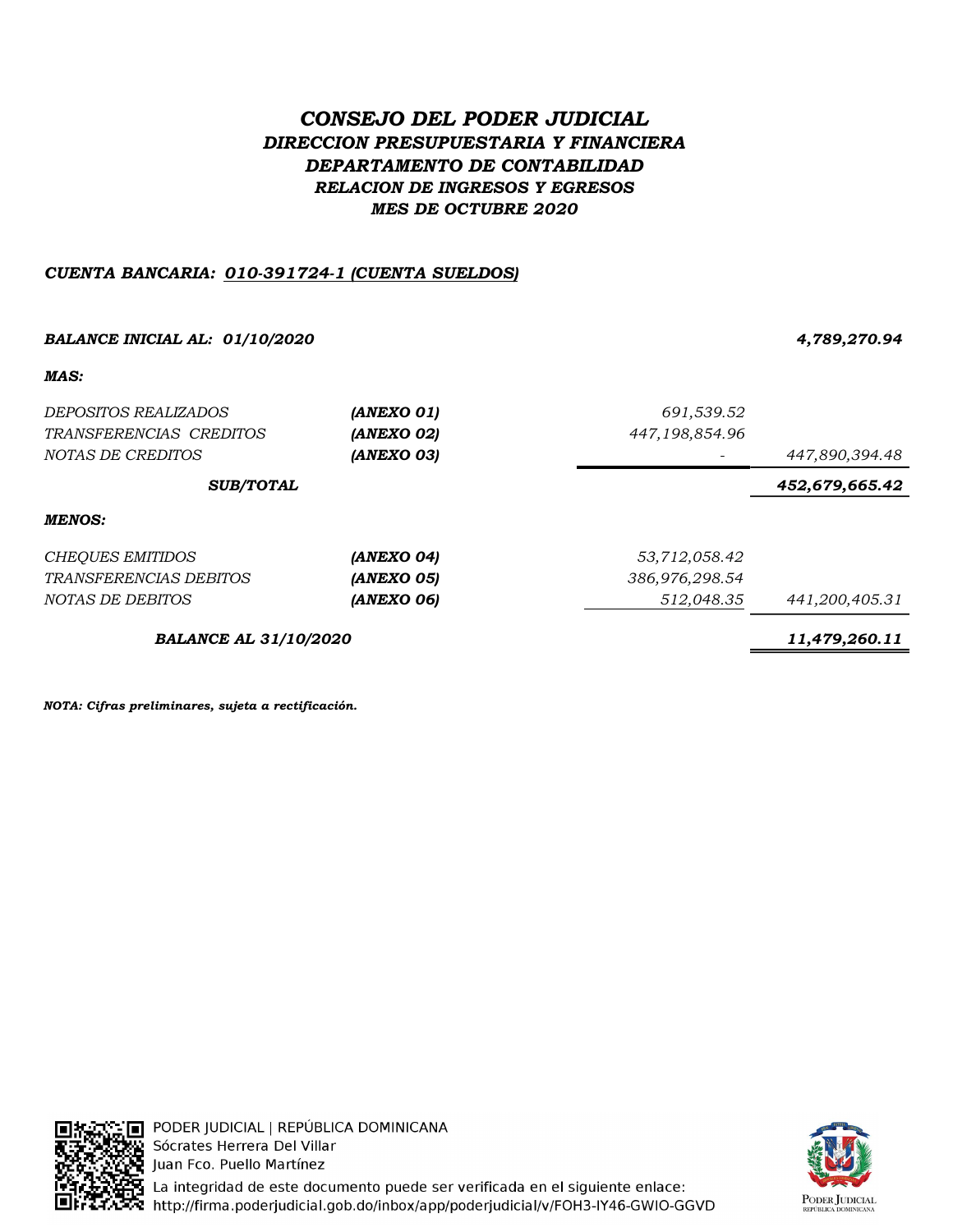# CONSEJO DEL PODER JUDICIAL DIRECCION PRESUPUESTARIA Y FINANCIERA DEPARTAMENTO DE CONTABILIDAD RELACION DE INGRESOS Y EGRESOS MES DE OCTUBRE 2020

## CUENTA BANCARIA: 010-391724-1 (CUENTA SUELDOS)

| <b>BALANCE INICIAL AL: 01/10/2020</b> | 4,789,270.94   |                |                |
|---------------------------------------|----------------|----------------|----------------|
| MAS:                                  |                |                |                |
| <i>DEPOSITOS REALIZADOS</i>           | (ANEXO 01)     | 691,539.52     |                |
| TRANSFERENCIAS CREDITOS               | (ANEXO 02)     | 447,198,854.96 |                |
| <i>NOTAS DE CREDITOS</i>              | (ANEXO 03)     |                | 447,890,394.48 |
| <b>SUB/TOTAL</b>                      | 452,679,665.42 |                |                |
| MENOS:                                |                |                |                |
| <b>CHEQUES EMITIDOS</b>               | (ANEXO 04)     | 53,712,058.42  |                |
| <i>TRANSFERENCIAS DEBITOS</i>         | (ANEXO 05)     | 386,976,298.54 |                |
| NOTAS DE DEBITOS                      | (ANEXO 06)     | 512,048.35     | 441,200,405.31 |
| <b>BALANCE AL 31/10/2020</b>          | 11,479,260.11  |                |                |

NOTA: Cifras preliminares, sujeta a rectificación.



<mark>: ∏</mark> PODER JUDICIAL | REPÚBLICA DOMINICANA Sócrates Herrera Del Villar Juan Fco. Puello Martínez pa<br>Haj La integridad de este documento puede ser verificada en el siguiente enlace:<br>A http://firma.poderjudicial.gob.do/inbox/app/poderjudicial/v/FOH3-IY46-GWIO-GGVD

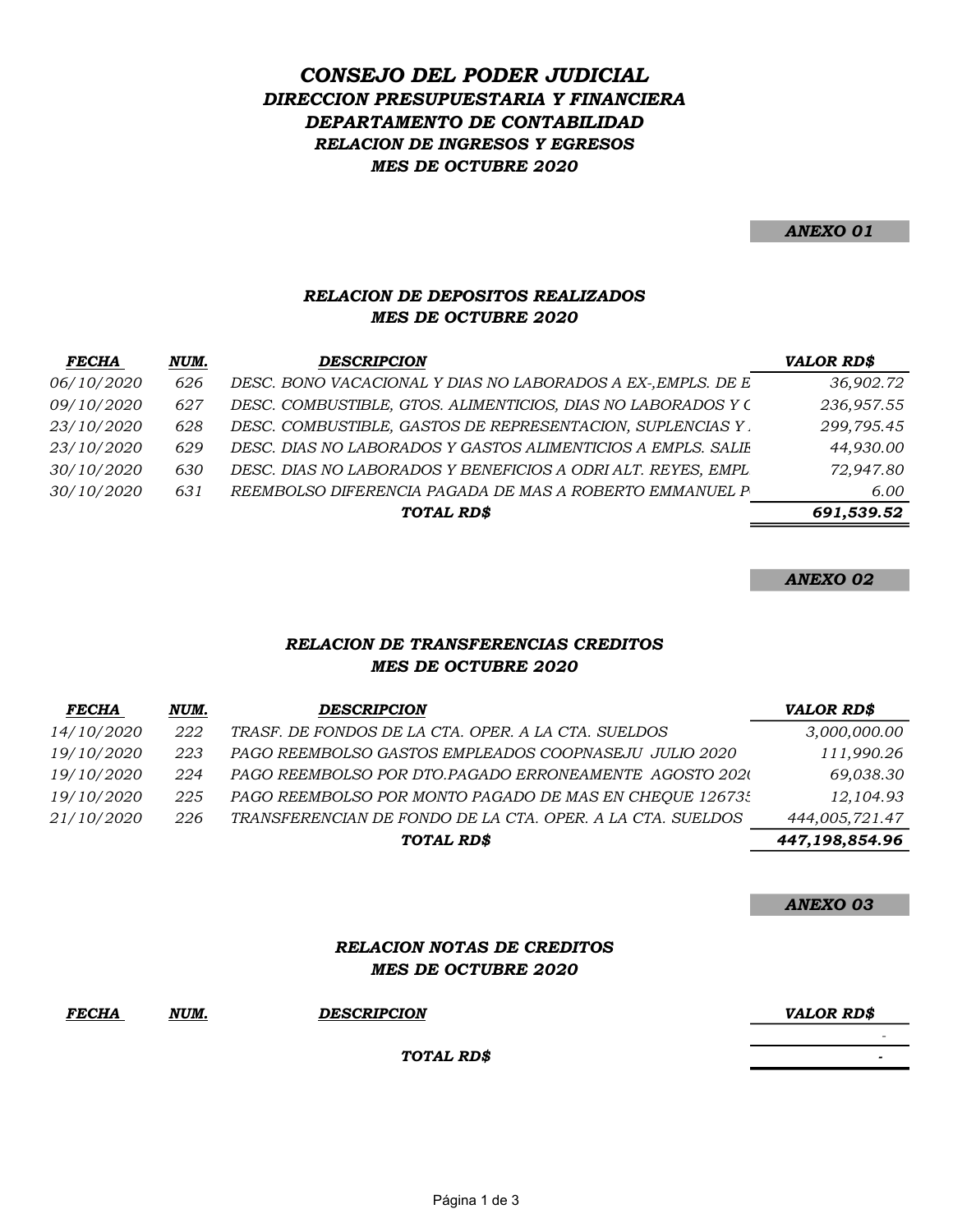## DIRECCION PRESUPUESTARIA Y FINANCIERA DEPARTAMENTO DE CONTABILIDAD CONSEJO DEL PODER JUDICIAL RELACION DE INGRESOS Y EGRESOS MES DE OCTUBRE 2020

ANEXO 01

#### RELACION DE DEPOSITOS REALIZADOS MES DE OCTUBRE 2020

| FECHA      | NUM. | <b>DESCRIPCION</b>                                           | VALOR RD\$ |
|------------|------|--------------------------------------------------------------|------------|
| 06/10/2020 | 626  | DESC. BONO VACACIONAL Y DIAS NO LABORADOS A EX-, EMPLS. DE E | 36,902.72  |
| 09/10/2020 | 627  | DESC. COMBUSTIBLE, GTOS. ALIMENTICIOS, DIAS NO LABORADOS Y C | 236,957.55 |
| 23/10/2020 | 628  | DESC. COMBUSTIBLE, GASTOS DE REPRESENTACION, SUPLENCIAS Y.   | 299,795.45 |
| 23/10/2020 | 629  | DESC. DIAS NO LABORADOS Y GASTOS ALIMENTICIOS A EMPLS. SALIE | 44,930.00  |
| 30/10/2020 | 630  | DESC. DIAS NO LABORADOS Y BENEFICIOS A ODRI ALT. REYES, EMPL | 72,947.80  |
| 30/10/2020 | 631  | REEMBOLSO DIFERENCIA PAGADA DE MAS A ROBERTO EMMANUEL P      | 6.00       |
|            |      | TOTAL RD\$                                                   | 691,539.52 |
|            |      |                                                              |            |

ANEXO 02

#### RELACION DE TRANSFERENCIAS CREDITOS MES DE OCTUBRE 2020

| <b>FECHA</b>      | NUM. | <b>DESCRIPCION</b>                                         | <b>VALOR RD\$</b> |
|-------------------|------|------------------------------------------------------------|-------------------|
| 14/10/2020        | 222  | TRASF. DE FONDOS DE LA CTA. OPER. A LA CTA. SUELDOS        | 3,000,000.00      |
| 19/10/2020        | 223  | PAGO REEMBOLSO GASTOS EMPLEADOS COOPNASEJU JULIO 2020      | 111,990.26        |
| 19/10/2020        | 224  | PAGO REEMBOLSO POR DTO.PAGADO ERRONEAMENTE AGOSTO 2020     | 69,038.30         |
| 19/10/2020        | 225  | PAGO REEMBOLSO POR MONTO PAGADO DE MAS EN CHEQUE 126735    | 12,104.93         |
| <i>21/10/2020</i> | 226  | TRANSFERENCIAN DE FONDO DE LA CTA. OPER. A LA CTA. SUELDOS | 444,005,721.47    |
|                   |      | TOTAL RD\$                                                 | 447,198,854.96    |

ANEXO 03

#### RELACION NOTAS DE CREDITOS MES DE OCTUBRE 2020

| <b>FECHA</b> | NUM. | <b>DESCRIPCION</b> | <b>VALOR RD\$</b> |
|--------------|------|--------------------|-------------------|
|              |      | TOTAL RD\$         | -                 |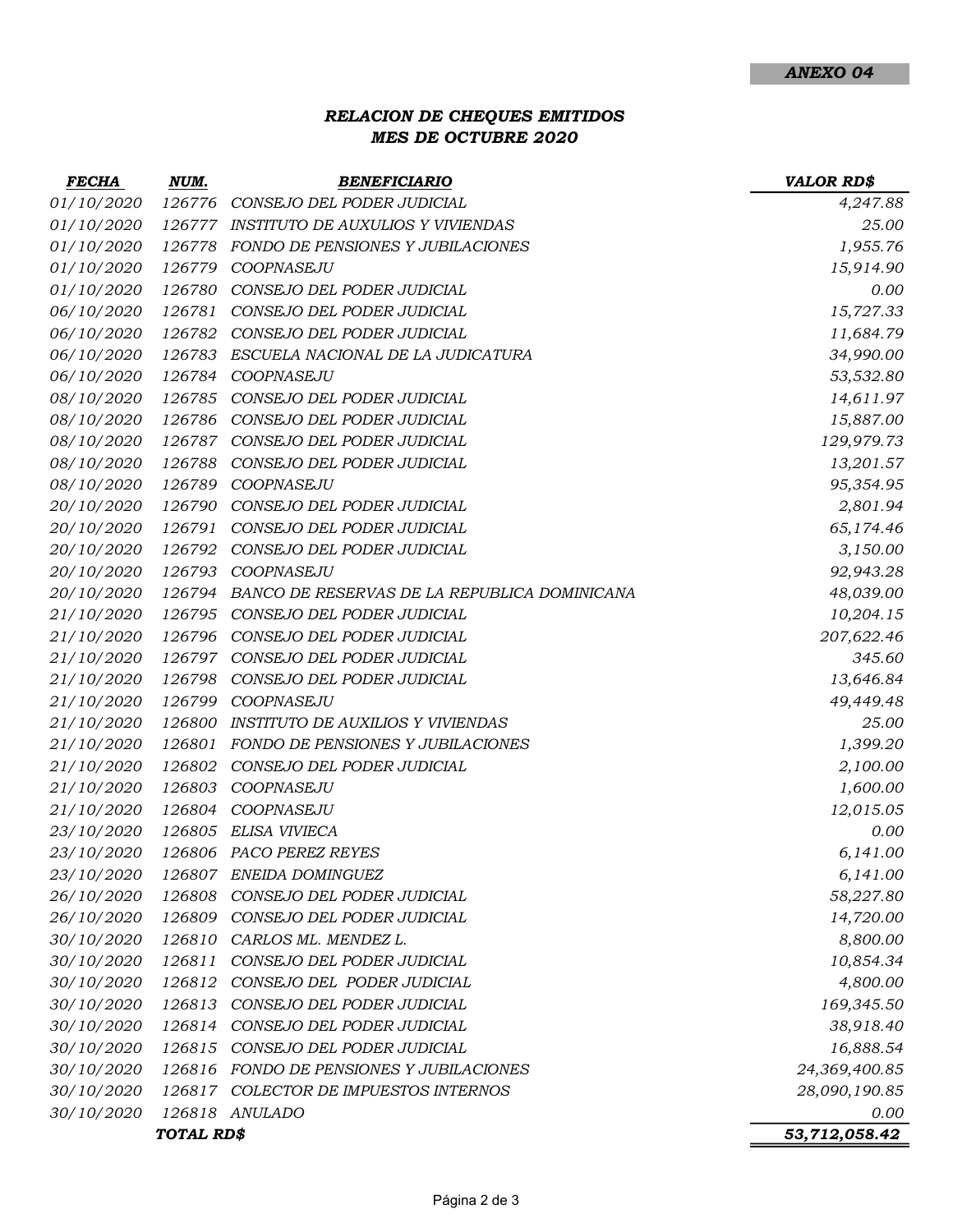### RELACION DE CHEQUES EMITIDOS MES DE OCTUBRE 2020

| FECHA      | NUM.       | <b>BENEFICIARIO</b>                          | <b>VALOR RD\$</b> |
|------------|------------|----------------------------------------------|-------------------|
| 01/10/2020 | 126776     | CONSEJO DEL PODER JUDICIAL                   | 4,247.88          |
| 01/10/2020 | 126777     | INSTITUTO DE AUXULIOS Y VIVIENDAS            | 25.00             |
| 01/10/2020 | 126778     | FONDO DE PENSIONES Y JUBILACIONES            | 1,955.76          |
| 01/10/2020 | 126779     | COOPNASEJU                                   | 15,914.90         |
| 01/10/2020 | 126780     | CONSEJO DEL PODER JUDICIAL                   | 0.00              |
| 06/10/2020 | 126781     | CONSEJO DEL PODER JUDICIAL                   | 15,727.33         |
| 06/10/2020 | 126782     | CONSEJO DEL PODER JUDICIAL                   | 11,684.79         |
| 06/10/2020 | 126783     | ESCUELA NACIONAL DE LA JUDICATURA            | 34,990.00         |
| 06/10/2020 | 126784     | COOPNASEJU                                   | 53,532.80         |
| 08/10/2020 | 126785     | CONSEJO DEL PODER JUDICIAL                   | 14,611.97         |
| 08/10/2020 | 126786     | CONSEJO DEL PODER JUDICIAL                   | 15,887.00         |
| 08/10/2020 | 126787     | CONSEJO DEL PODER JUDICIAL                   | 129,979.73        |
| 08/10/2020 | 126788     | CONSEJO DEL PODER JUDICIAL                   | 13,201.57         |
| 08/10/2020 | 126789     | COOPNASEJU                                   | 95,354.95         |
| 20/10/2020 | 126790     | CONSEJO DEL PODER JUDICIAL                   | 2,801.94          |
| 20/10/2020 | 126791     | CONSEJO DEL PODER JUDICIAL                   | 65,174.46         |
| 20/10/2020 | 126792     | CONSEJO DEL PODER JUDICIAL                   | 3,150.00          |
| 20/10/2020 | 126793     | COOPNASEJU                                   | 92,943.28         |
| 20/10/2020 | 126794     | BANCO DE RESERVAS DE LA REPUBLICA DOMINICANA | 48,039.00         |
| 21/10/2020 | 126795     | CONSEJO DEL PODER JUDICIAL                   | 10,204.15         |
| 21/10/2020 | 126796     | CONSEJO DEL PODER JUDICIAL                   | 207,622.46        |
| 21/10/2020 | 126797     | CONSEJO DEL PODER JUDICIAL                   | 345.60            |
| 21/10/2020 | 126798     | CONSEJO DEL PODER JUDICIAL                   | 13,646.84         |
| 21/10/2020 | 126799     | COOPNASEJU                                   | 49,449.48         |
| 21/10/2020 | 126800     | <b>INSTITUTO DE AUXILIOS Y VIVIENDAS</b>     | 25.00             |
| 21/10/2020 | 126801     | FONDO DE PENSIONES Y JUBILACIONES            | 1,399.20          |
| 21/10/2020 | 126802     | CONSEJO DEL PODER JUDICIAL                   | 2,100.00          |
| 21/10/2020 | 126803     | COOPNASEJU                                   | 1,600.00          |
| 21/10/2020 | 126804     | COOPNASEJU                                   | 12,015.05         |
| 23/10/2020 | 126805     | ELISA VIVIECA                                | 0.00              |
| 23/10/2020 |            | 126806 PACO PEREZ REYES                      | 6,141.00          |
| 23/10/2020 |            | 126807 ENEIDA DOMINGUEZ                      | 6,141.00          |
| 26/10/2020 | 126808     | CONSEJO DEL PODER JUDICIAL                   | 58,227.80         |
| 26/10/2020 | 126809     | CONSEJO DEL PODER JUDICIAL                   | 14,720.00         |
| 30/10/2020 | 126810     | CARLOS ML. MENDEZ L.                         | 8,800.00          |
| 30/10/2020 | 126811     | CONSEJO DEL PODER JUDICIAL                   | 10,854.34         |
| 30/10/2020 | 126812     | CONSEJO DEL PODER JUDICIAL                   | 4,800.00          |
| 30/10/2020 | 126813     | CONSEJO DEL PODER JUDICIAL                   | 169,345.50        |
| 30/10/2020 | 126814     | CONSEJO DEL PODER JUDICIAL                   | 38,918.40         |
| 30/10/2020 | 126815     | CONSEJO DEL PODER JUDICIAL                   | 16,888.54         |
| 30/10/2020 | 126816     | FONDO DE PENSIONES Y JUBILACIONES            | 24,369,400.85     |
| 30/10/2020 |            | 126817 COLECTOR DE IMPUESTOS INTERNOS        | 28,090,190.85     |
| 30/10/2020 |            | 126818 ANULADO                               | 0.00              |
|            | TOTAL RD\$ |                                              | 53,712,058.42     |